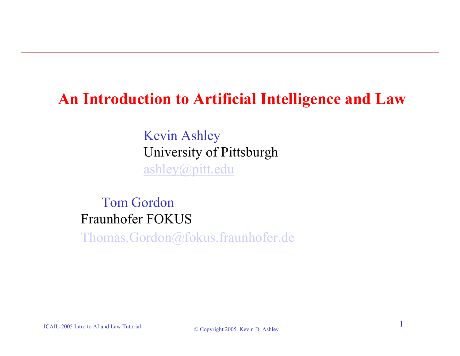### **An Introduction to Artificial Intelligence and Law**

Kevin Ashley University of Pittsburgh [ashley@pitt.edu](mailto:ashley@pitt.edu)

Tom GordonFraunhofer FOKUS

[Thomas.Gordon@fokus.fraunhofer.de](mailto:Thomas.Gordon@fokus.fraunhofer.de)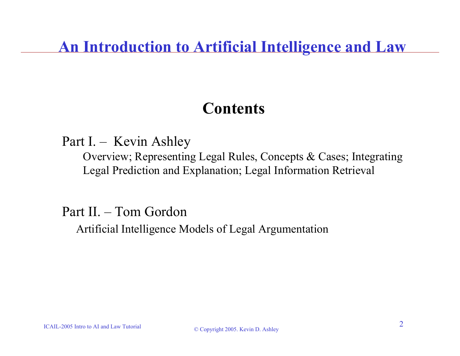### **An Introduction to Artificial Intelligence and Law**

### **Contents**

### Part I. – Kevin Ashley

Overview; Representing Legal Rules, Concepts & Cases; Integrating Legal Prediction and Explanation; Legal Information Retrieval

### Part II. – Tom Gordon

Artificial Intelligence Models of Legal Argumentation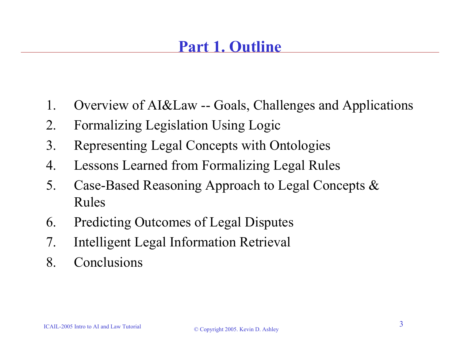# **Part 1. Outline**

- 1. Overview of AI&Law -- Goals, Challenges and Applications
- 2. Formalizing Legislation Using Logic
- 3. Representing Legal Concepts with Ontologies
- 4. Lessons Learned from Formalizing Legal Rules
- 5. Case-Based Reasoning Approach to Legal Concepts & Rules
- 6. Predicting Outcomes of Legal Disputes
- 7. Intelligent Legal Information Retrieval
- 8. Conclusions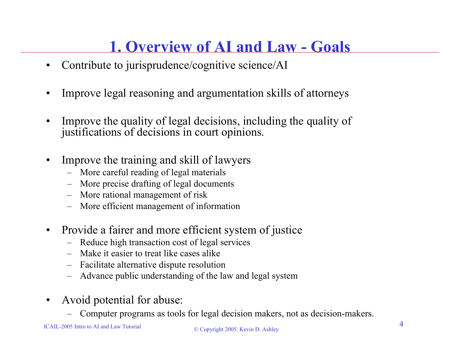# **1. Overview of AI and Law - Goals**

- •Contribute to jurisprudence/cognitive science/AI
- •Improve legal reasoning and argumentation skills of attorneys
- • Improve the quality of legal decisions, including the quality of justifications of decisions in court opinions.
- • Improve the training and skill of lawyers
	- More careful reading of legal materials
	- More precise drafting of legal documents
	- More rational management of risk
	- More efficient management of information
- $\bullet$  Provide a fairer and more efficient system of justice
	- Reduce high transaction cost of legal services
	- Make it easier to treat like cases alike
	- –Facilitate alternative dispute resolution
	- Advance public understanding of the law and legal system
- • Avoid potential for abuse:
	- Computer programs as tools for legal decision makers, not as decision-makers.

#### $\degree$  Copyright 2005. Kevin D. Ashley 4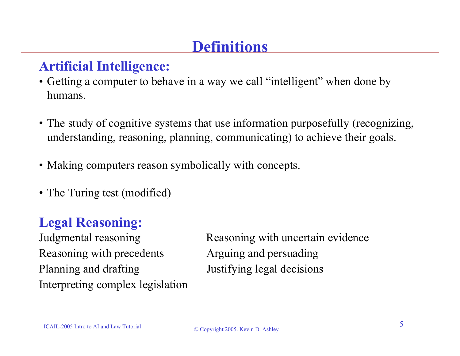### **Definitions**

### **Artificial Intelligence:**

- Getting a computer to behave in a way we call "intelligent" when done by humans.
- The study of cognitive systems that use information purposefully (recognizing, understanding, reasoning, planning, communicating) to achieve their goals.
- Making computers reason symbolically with concepts.
- The Turing test (modified)

### **Legal Reasoning:**

Reasoning with precedents Arguing and persuading Planning and drafting **IUSE** Justifying legal decisions Interpreting complex legislation

Judgmental reasoning Reasoning with uncertain evidence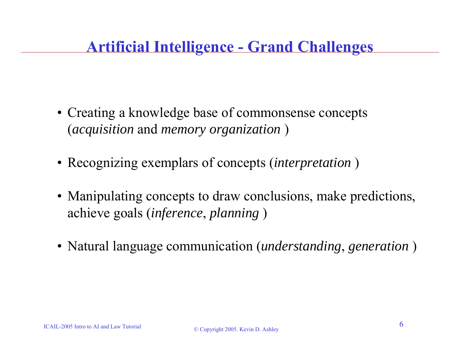### **Artificial Intelligence - Grand Challenges**

- Creating a knowledge base of commonsense concepts (*acquisition* and *memory organization* )
- Recognizing exemplars of concepts (*interpretation* )
- Manipulating concepts to draw conclusions, make predictions, achieve goals (*inference*, *planning* )
- Natural language communication (*understanding*, *generation* )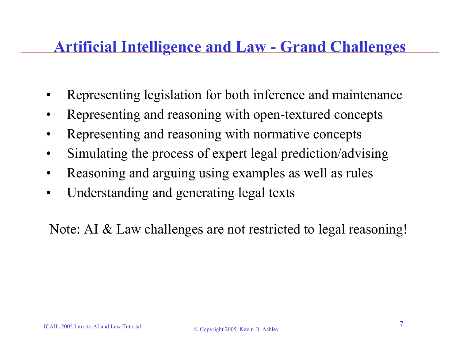### **Artificial Intelligence and Law - Grand Challenges**

- •Representing legislation for both inference and maintenance
- •Representing and reasoning with open-textured concepts
- •Representing and reasoning with normative concepts
- •Simulating the process of expert legal prediction/advising
- •Reasoning and arguing using examples as well as rules
- •Understanding and generating legal texts

Note: AI & Law challenges are not restricted to legal reasoning!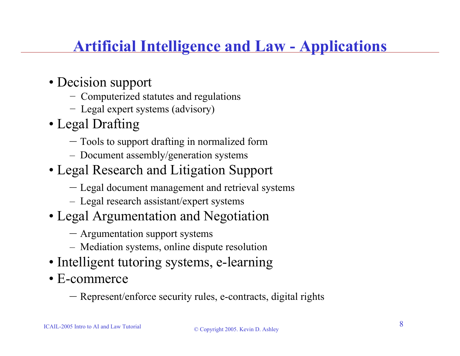### **Artificial Intelligence and Law - Applications**

- Decision support
	- − Computerized statutes and regulations
	- − Legal expert systems (advisory)
- Legal Drafting
	- Tools to support drafting in normalized form
	- Document assembly/generation systems
- Legal Research and Litigation Support
	- Legal document management and retrieval systems
	- Legal research assistant/expert systems
- Legal Argumentation and Negotiation
	- Argumentation support systems
	- Mediation systems, online dispute resolution
- Intelligent tutoring systems, e-learning
- E-commerce
	- Represent/enforce security rules, e-contracts, digital rights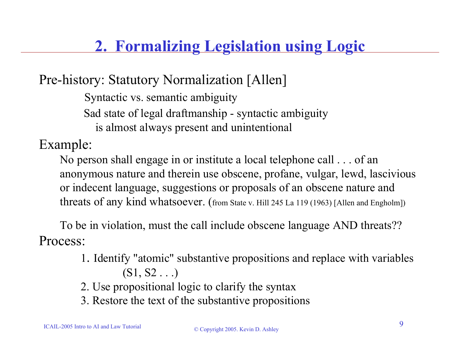## **2. Formalizing Legislation using Logic**

Pre-history: Statutory Normalization [Allen]

Syntactic vs. semantic ambiguity

Sad state of legal draftmanship - syntactic ambiguity

is almost always present and unintentional

Example:

No person shall engage in or institute a local telephone call . . . of an anonymous nature and therein use obscene, profane, vulgar, lewd, lascivious or indecent language, suggestions or proposals of an obscene nature and threats of any kind whatsoever. (from State v. Hill 245 La 119 (1963) [Allen and Engholm])

To be in violation, must the call include obscene language AND threats?? Process:

- 1. Identify "atomic" substantive propositions and replace with variables  $(S1, S2 \ldots)$
- 2. Use propositional logic to clarify the syntax
- 3. Restore the text of the substantive propositions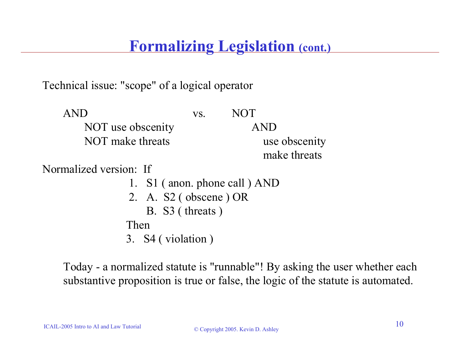### **Formalizing Legislation (cont.)**

Technical issue: "scope" of a logical operator

| <b>AND</b>        | VS. | <b>NOT</b>    |
|-------------------|-----|---------------|
| NOT use obscenity |     | <b>AND</b>    |
| NOT make threats  |     | use obscenity |
|                   |     | make threats  |

Normalized version: If

- 1. S1 ( anon. phone call ) AND
- 2. A. S2 ( obscene ) OR
	- B. S3 ( threats )

Then

3. S4 ( violation )

Today - a normalized statute is "runnable"! By asking the user whether each substantive proposition is true or false, the logic of the statute is automated.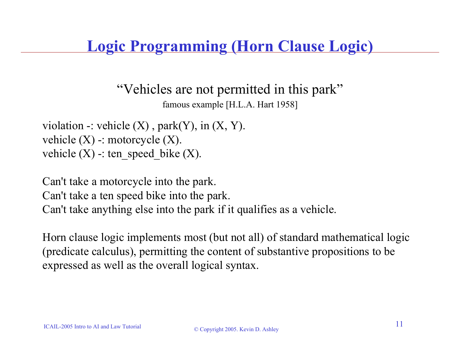### **Logic Programming (Horn Clause Logic)**

"Vehicles are not permitted in this park"

famous example [H.L.A. Hart 1958]

violation -: vehicle  $(X)$ , park $(Y)$ , in  $(X, Y)$ . vehicle  $(X)$  -: motorcycle  $(X)$ . vehicle  $(X)$  -: ten speed bike  $(X)$ .

Can't take a motorcycle into the park. Can't take a ten speed bike into the park. Can't take anything else into the park if it qualifies as a vehicle.

Horn clause logic implements most (but not all) of standard mathematical logic (predicate calculus), permitting the content of substantive propositions to be expressed as well as the overall logical syntax.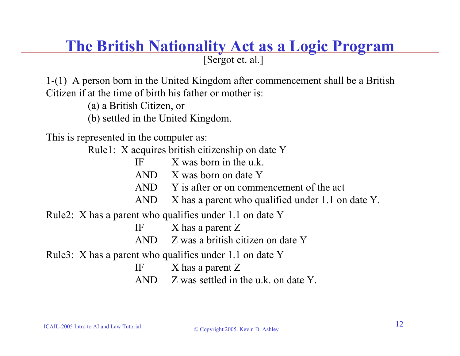### [Sergot et. al.] **The British Nationality Act as a Logic Program**

1-(1) A person born in the United Kingdom after commencement shall be a British Citizen if at the time of birth his father or mother is:

(a) a British Citizen, or

(b) settled in the United Kingdom.

This is represented in the computer as:

Rule1: X acquires british citizenship on date Y

- IFX was born in the u.k.
- AND X was born on date Y
- AND Y is after or on commencement of the act
- AND X has a parent who qualified under 1.1 on date Y.

Rule2: X has a parent who qualifies under 1.1 on date Y

IF X has a parent Z

ANDZ was a british citizen on date Y

Rule3: X has a parent who qualifies under 1.1 on date Y

IFX has a parent Z

AND  $\sim$  Z was settled in the u.k. on date Y.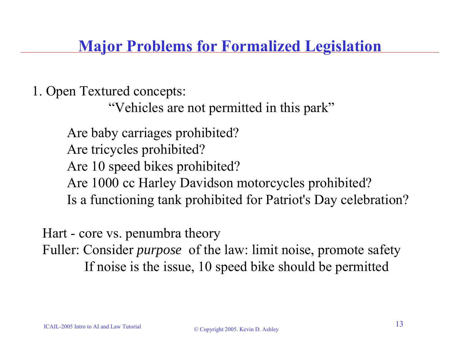**Major Problems for Formalized Legislation**

1. Open Textured concepts:

"Vehicles are not permitted in this park"

Are baby carriages prohibited? Are tricycles prohibited? Are 10 speed bikes prohibited? Are 1000 cc Harley Davidson motorcycles prohibited? Is a functioning tank prohibited for Patriot's Day celebration?

Hart - core vs. penumbra theory Fuller: Consider *purpose* of the law: limit noise, promote safety If noise is the issue, 10 speed bike should be permitted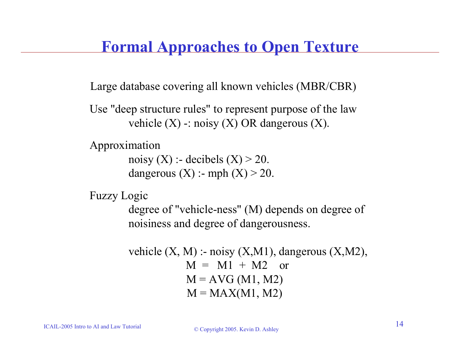### **Formal Approaches to Open Texture**

Large database covering all known vehicles (MBR/CBR)

Use "deep structure rules" to represent purpose of the law vehicle  $(X)$  -: noisy  $(X)$  OR dangerous  $(X)$ .

```
Approximation
```

```
noisy (X):- decibels (X) > 20.
dangerous (X): - mph (X) > 20.
```

```
Fuzzy Logic
```
degree of "vehicle-ness" (M) depends on degree of noisiness and degree of dangerousness.

```
vehicle (X, M) :- noisy (X, M1), dangerous (X, M2),
          M = M1 + M2 or
          M = AVG (M1, M2)M = MAX(M1, M2)
```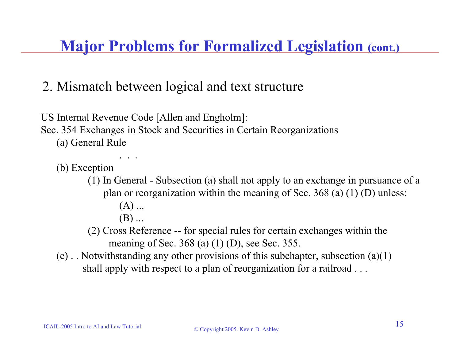**Major Problems for Formalized Legislation (cont.)**

### 2. Mismatch between logical and text structure

US Internal Revenue Code [Allen and Engholm]: Sec. 354 Exchanges in Stock and Securities in Certain Reorganizations (a) General Rule

(b) Exception

(1) In General - Subsection (a) shall not apply to an exchange in pursuance of a plan or reorganization within the meaning of Sec. 368 (a) (1) (D) unless:

(A) ...

. . .

 $(B)$  ...

(2) Cross Reference -- for special rules for certain exchanges within the meaning of Sec. 368 (a) (1) (D), see Sec. 355.

(c) . . Notwithstanding any other provisions of this subchapter, subsection (a)(1) shall apply with respect to a plan of reorganization for a railroad . . .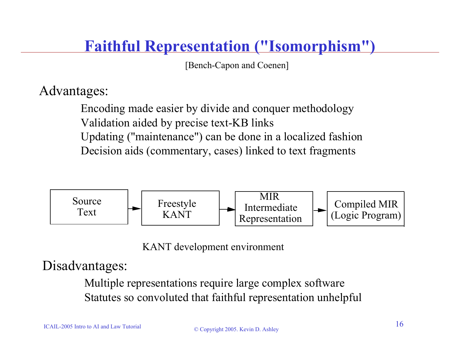### **Faithful Representation ("Isomorphism")**

[Bench-Capon and Coenen]

### Advantages:

Encoding made easier by divide and conquer methodology Validation aided by precise text-KB links Updating ("maintenance") can be done in a localized fashion Decision aids (commentary, cases) linked to text fragments



KANT development environment

### Disadvantages:

Multiple representations require large complex software Statutes so convoluted that faithful representation unhelpful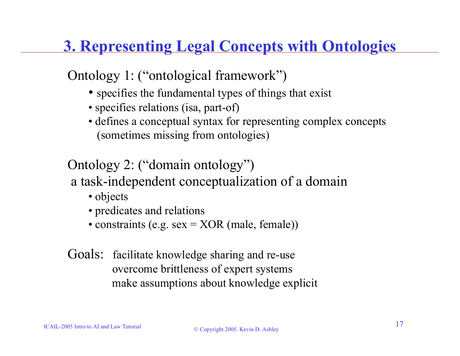# **3. Representing Legal Concepts with Ontologies**

### Ontology 1: ("ontological framework")

- specifies the fundamental types of things that exist
- specifies relations (isa, part-of)
- defines a conceptual syntax for representing complex concepts (sometimes missing from ontologies)

### Ontology 2: ("domain ontology")

### a task-independent conceptualization of a domain

- objects
- predicates and relations
- constraints (e.g. sex = XOR (male, female))
- Goals: facilitate knowledge sharing and re-use overcome brittleness of expert systems make assumptions about knowledge explicit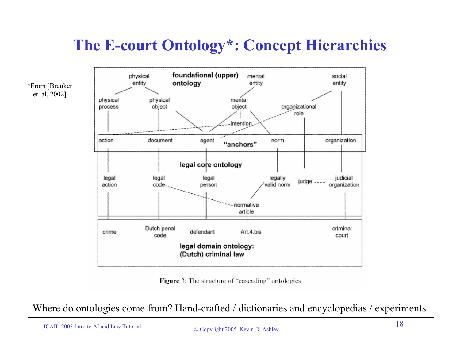## **The E-court Ontology\*: Concept Hierarchies**



Figure 3: The structure of "cascading" ontologies

Where do ontologies come from? Hand-crafted / dictionaries and encyclopedias / experiments

ICAIL-2005 Intro to AI and Law Tutorial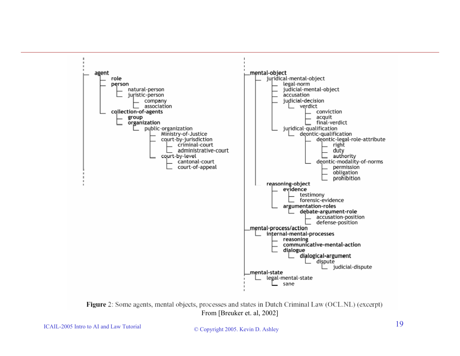

Figure 2: Some agents, mental objects, processes and states in Dutch Criminal Law (OCL.NL) (excerpt) From [Breuker et. al, 2002]

ICAIL-2005 Intro to AI and Law Tutorial

© Copyright 2005. Kevin D. Ashley 19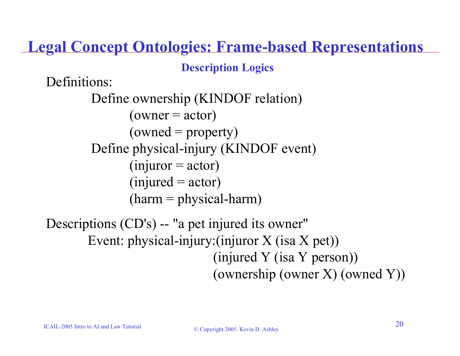**Legal Concept Ontologies: Frame-based Representations**

**Description Logics**

Definitions:

Define ownership (KINDOF relation)  $(owner = actor)$  $(owned = property)$ Define physical-injury (KINDOF event)  $(i$ njuror = actor)  $(injured = actor)$  $(harm = physical-harm)$ 

Descriptions (CD's) -- "a pet injured its owner" Event: physical-injury:(injuror X (isa X pet)) (injured Y (isa Y person)) (ownership (owner X) (owned Y))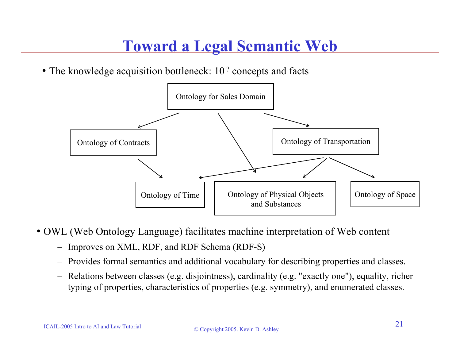### **Toward a Legal Semantic Web**

• The knowledge acquisition bottleneck: 10<sup>2</sup> concepts and facts



• OWL (Web Ontology Language) facilitates machine interpretation of Web content

- Improves on XML, RDF, and RDF Schema (RDF-S)
- Provides formal semantics and additional vocabulary for describing properties and classes.
- Relations between classes (e.g. disjointness), cardinality (e.g. "exactly one"), equality, richer typing of properties, characteristics of properties (e.g. symmetry), and enumerated classes.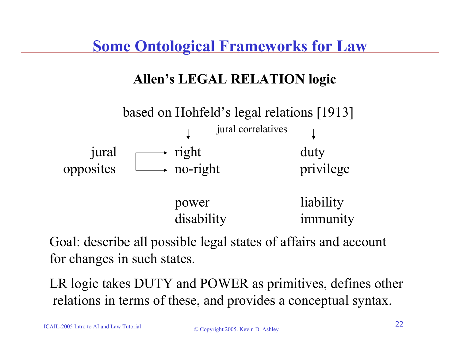### **Allen's LEGAL RELATION logic**



Goal: describe all possible legal states of affairs and account for changes in such states.

LR logic takes DUTY and POWER as primitives, defines other relations in terms of these, and provides a conceptual syntax.

ICAIL-2005 Intro to AI and Law Tutorial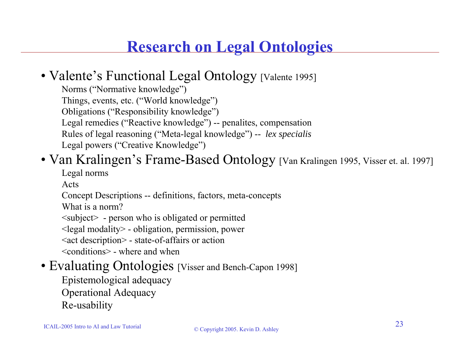### **Research on Legal Ontologies**

### • Valente's Functional Legal Ontology [Valente 1995]

Norms ("Normative knowledge") Things, events, etc. ("World knowledge") Obligations ("Responsibility knowledge") Legal remedies ("Reactive knowledge") -- penalites, compensation Rules of legal reasoning ("Meta-legal knowledge") -- *lex specialis* Legal powers ("Creative Knowledge")

### • Van Kralingen's Frame-Based Ontology [Van Kralingen 1995, Visser et. al. 1997]

Legal norms

Acts

Concept Descriptions -- definitions, factors, meta-concepts

What is a norm?

<subject> - person who is obligated or permitted

<legal modality> - obligation, permission, power

<act description> - state-of-affairs or action

<conditions> - where and when

### • Evaluating Ontologies [Visser and Bench-Capon 1998]

Epistemological adequacy

Operational Adequacy

Re-usability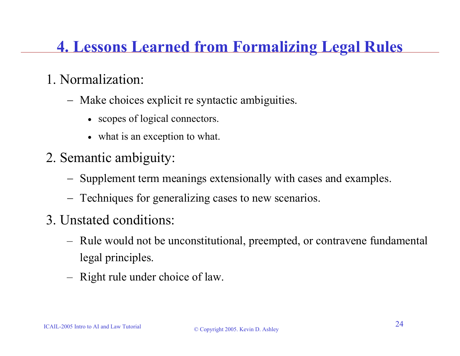### **4. Lessons Learned from Formalizing Legal Rules**

### 1. Normalization:

- − Make choices explicit re syntactic ambiguities.
	- scopes of logical connectors.
	- what is an exception to what.
- 2. Semantic ambiguity:
	- −Supplement term meanings extensionally with cases and examples.
	- Techniques for generalizing cases to new scenarios.
- 3. Unstated conditions:
	- Rule would not be unconstitutional, preempted, or contravene fundamental legal principles.
	- Right rule under choice of law.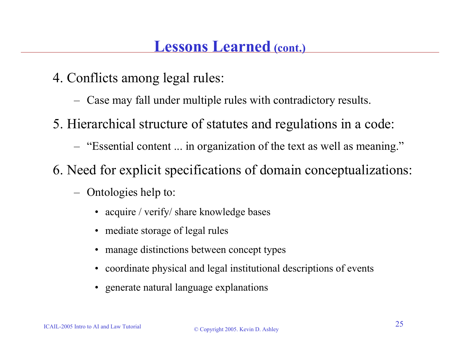- 4. Conflicts among legal rules:
	- Case may fall under multiple rules with contradictory results.
- 5. Hierarchical structure of statutes and regulations in a code:
	- "Essential content ... in organization of the text as well as meaning."
- 6. Need for explicit specifications of domain conceptualizations:
	- Ontologies help to:
		- acquire / verify/ share knowledge bases
		- mediate storage of legal rules
		- manage distinctions between concept types
		- coordinate physical and legal institutional descriptions of events
		- generate natural language explanations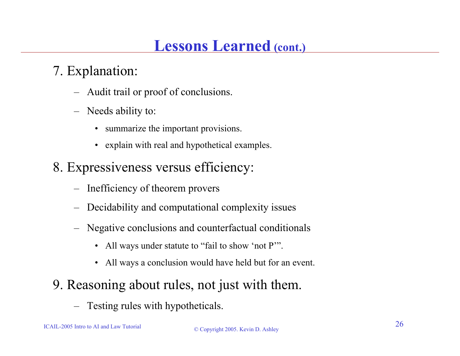### **Lessons Learned (cont.)**

### 7. Explanation:

- Audit trail or proof of conclusions.
- – Needs ability to:
	- summarize the important provisions.
	- explain with real and hypothetical examples.
- 8. Expressiveness versus efficiency:
	- –Inefficiency of theorem provers
	- –Decidability and computational complexity issues
	- – Negative conclusions and counterfactual conditionals
		- All ways under statute to "fail to show 'not P".
		- All ways a conclusion would have held but for an event.
- 9. Reasoning about rules, not just with them.
	- –Testing rules with hypotheticals.

ICAIL-2005 Intro to AI and Law Tutorial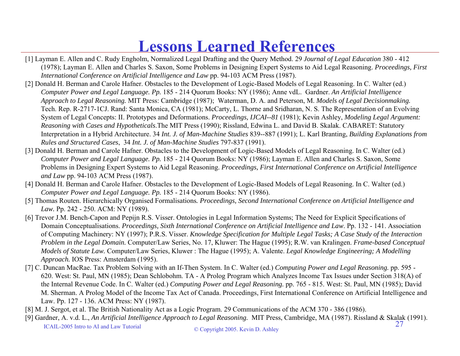### **Lessons Learned References**

- [1] Layman E. Allen and C. Rudy Engholm, Normalized Legal Drafting and the Query Method. 29 *Journal of Legal Education* 380 412 (1978); Layman E. Allen and Charles S. Saxon, Some Problems in Designing Expert Systems to Aid Legal Reasoning. *Proceedings, First International Conference on Artificial Intelligence and Law* pp. 94-103 ACM Press (1987).
- [2] Donald H. Berman and Carole Hafner. Obstacles to the Development of Logic-Based Models of Legal Reasoning. In C. Walter (ed.) *Computer Power and Legal Language. Pp.* 185 - 214 Quorum Books: NY (1986); Anne vdL. Gardner. *An Artificial Intelligence Approach to Legal Reasoning.* MIT Press: Cambridge (1987); Waterman, D. A. and Peterson, M. *Models of Legal Decisionmaking.*  Tech. Rep. R-2717-1CJ. Rand: Santa Monica, CA (1981); McCarty, L. Thorne and Sridharan, N. S. The Representation of an Evolving System of Legal Concepts: II. Prototypes and Deformations. *Proceedings, IJCAI--81* (1981); Kevin Ashley, *Modeling Legal Argument: Reasoning with Cases and Hypotheticals*.The MIT Press (1990); Rissland, Edwina L. and David B. Skalak. CABARET: Statutory Interpretation in a Hybrid Architecture. 34 *Int. J. of Man-Machine Studies* 839--887 (1991); L. Karl Branting, *Building Explanations from Rules and Structured Cases*, 34 *Int. J. of Man-Machine Studies* 797-837 (1991).
- [3] Donald H. Berman and Carole Hafner. Obstacles to the Development of Logic-Based Models of Legal Reasoning. In C. Walter (ed.) *Computer Power and Legal Language. Pp.* 185 - 214 Quorum Books: NY (1986); Layman E. Allen and Charles S. Saxon, Some Problems in Designing Expert Systems to Aid Legal Reasoning. *Proceedings, First International Conference on Artificial Intelligence and Law* pp. 94-103 ACM Press (1987).
- [4] Donald H. Berman and Carole Hafner. Obstacles to the Development of Logic-Based Models of Legal Reasoning. In C. Walter (ed.) *Computer Power and Legal Language. Pp.* 185 - 214 Quorum Books: NY (1986).
- [5] Thomas Routen. Hierarchically Organised Formalisations*. Proceedings, Second International Conference on Artificial Intelligence and Law.* Pp. 242 - 250. ACM: NY (1989).
- [6] Trevor J.M. Bench-Capon and Pepijn R.S. Visser. Ontologies in Legal Information Systems; The Need for Explicit Specifications of Domain Conceptualisations. *Proceedings, Sixth International Conference on Artificial Intelligence and Law*. Pp. 132 - 141. Association of Computing Machinery: NY (1997); P.R.S. Visser. *Knowledge Specification for Multiple Legal Tasks; A Case Study of the Interaction Problem in the Legal Domain.* Computer/Law Series, No. 17, Kluwer: The Hague (1995); R.W. van Kralingen. *Frame-based Conceptual Models of Statute Law.* Computer/Law Series, Kluwer : The Hague (1995); A. Valente. *Legal Knowledge Engineering; A Modelling Approach.* IOS Press: Amsterdam (1995).
- [7] C. Duncan MacRae. Tax Problem Solving with an If-Then System. In C. Walter (ed.) *Computing Power and Legal Reasoning.* pp. 595 620. West: St. Paul, MN (1985); Dean Schlobohm. TA - A Prolog Program which Analyzes Income Tax Issues under Section 318(A) of the Internal Revenue Code. In C. Walter (ed.) *Computing Power and Legal Reasoning.* pp. 765 - 815. West: St. Paul, MN (1985); David M. Sherman. A Prolog Model of the Income Tax Act of Canada. Proceedings, First International Conference on Artificial Intelligence and Law. Pp. 127 - 136. ACM Press: NY (1987).
- [8] M. J. Sergot, et al. The British Nationality Act as a Logic Program. 29 Communications of the ACM 370 386 (1986).
- ICAIL-2005 Intro to AI and Law Tutorial © Copyright 2005. Kevin D. Ashley <sup>27</sup> [9] Gardner, A. v.d. L., *An Artificial Intelligence Approach to Legal Reasoning.* MIT Press, Cambridge, MA (1987). Rissland & Skalak (1991).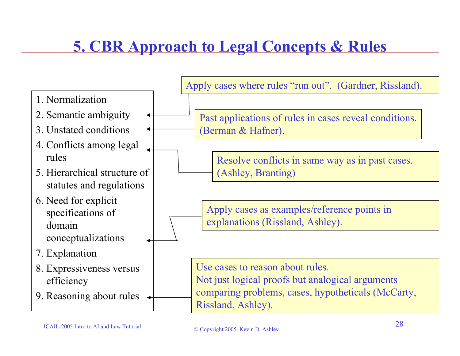# **5. CBR Approach to Legal Concepts & Rules**

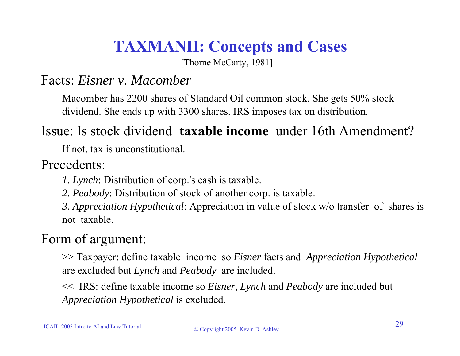### **TAXMANII: Concepts and Cases**

[Thorne McCarty, 1981]

### Facts: *Eisner v. Macomber*

Macomber has 2200 shares of Standard Oil common stock. She gets 50% stock dividend. She ends up with 3300 shares. IRS imposes tax on distribution.

### Issue: Is stock dividend **taxable income** under 16th Amendment?

If not, tax is unconstitutional.

### Precedents:

*1. Lynch*: Distribution of corp.'s cash is taxable.

*2. Peabody*: Distribution of stock of another corp. is taxable.

*3. Appreciation Hypothetical*: Appreciation in value of stock w/o transfer of shares is not taxable.

### Form of argument:

>> Taxpayer: define taxable income so *Eisner* facts and *Appreciation Hypothetical* are excluded but *Lynch* and *Peabody* are included.

<< IRS: define taxable income so *Eisner*, *Lynch* and *Peabody* are included but *Appreciation Hypothetical* is excluded.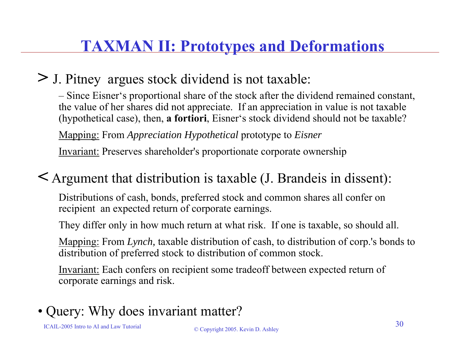## **TAXMAN II: Prototypes and Deformations**

### **>** J. Pitney argues stock dividend is not taxable:

– Since Eisner's proportional share of the stock after the dividend remained constant, the value of her shares did not appreciate. If an appreciation in value is not taxable (hypothetical case), then, **a fortiori**, Eisner's stock dividend should not be taxable?

Mapping: From *Appreciation Hypothetical* prototype to *Eisner*

Invariant: Preserves shareholder's proportionate corporate ownership

### **<** Argument that distribution is taxable (J. Brandeis in dissent):

Distributions of cash, bonds, preferred stock and common shares all confer on recipient an expected return of corporate earnings.

They differ only in how much return at what risk. If one is taxable, so should all.

Mapping: From *Lynch,* taxable distribution of cash, to distribution of corp.'s bonds to distribution of preferred stock to distribution of common stock.

Invariant: Each confers on recipient some tradeoff between expected return of corporate earnings and risk.

### • Query: Why does invariant matter?

ICAIL-2005 Intro to AI and Law Tutorial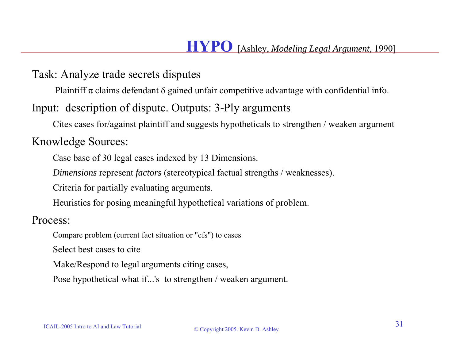Task: Analyze trade secrets disputes

Plaintiff  $\pi$  claims defendant  $\delta$  gained unfair competitive advantage with confidential info.

#### Input: description of dispute. Outputs: 3-Ply arguments

Cites cases for/against plaintiff and suggests hypotheticals to strengthen / weaken argument

#### Knowledge Sources:

Case base of 30 legal cases indexed by 13 Dimensions.

*Dimensions* represen<sup>t</sup>*factors* (stereotypical factual strengths / weaknesses).

Criteria for partially evaluating arguments.

Heuristics for posing meaningful hypothetical variations of problem.

Process:

Compare problem (current fact situation or "cfs") to cases

Select best cases to cite

Make/Respond to legal arguments citing cases,

Pose hypothetical what if...'s to strengthen / weaken argument.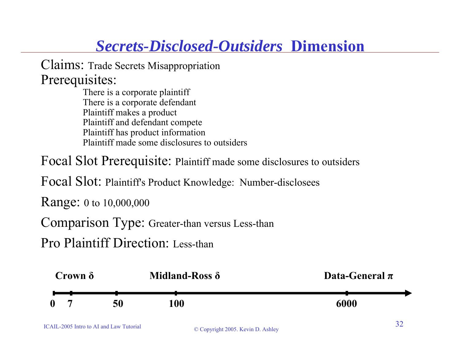### *Secrets-Disclosed-Outsiders* **Dimension**

Claims: Trade Secrets Misappropriation Prerequisites:

There is a corporate plaintiff There is a corporate defendant Plaintiff makes a product Plaintiff and defendant compete Plaintiff has product information Plaintiff made some disclosures to outsiders

Focal Slot Prerequisite: Plaintiff made some disclosures to outsiders

Focal Slot: Plaintiff's Product Knowledge: Number-disclosees

Range: 0 to 10,000,000

Comparison Type: Greater-than versus Less-than

Pro Plaintiff Direction: Less-than

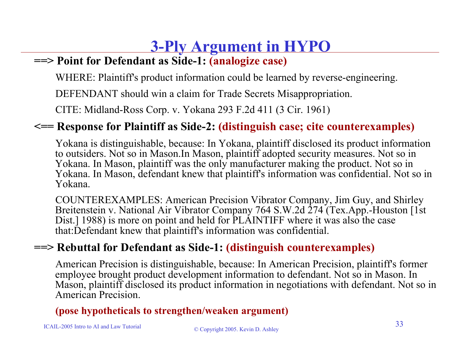# **3-Ply Argument in HYPO**

#### **==> Point for Defendant as Side-1: (analogize case)**

WHERE: Plaintiff's product information could be learned by reverse-engineering.

DEFENDANT should win a claim for Trade Secrets Misappropriation.

CITE: Midland-Ross Corp. v. Yokana 293 F.2d 411 (3 Cir. 1961)

#### **<== Response for Plaintiff as Side-2: (distinguish case; cite counterexamples)**

Yokana is distinguishable, because: In Yokana, plaintiff disclosed its product information to outsiders. Not so in Mason.In Mason, plaintiff adopted security measures. Not so in Yokana. In Mason, plaintiff was the only manufacturer making the product. Not so in Yokana. In Mason, defendant knew that plaintiff's information was confidential. Not so in Yokana.

COUNTEREXAMPLES: American Precision Vibrator Company, Jim Guy, and Shirley Breitenstein v. National Air Vibrator Company 764 S.W.2d 274 (Tex.App.-Houston [1st] Dist.] 1988) is more on point and held for PLAINTIFF where it was also the case that:Defendant knew that plaintiff's information was confidential.

#### **==> Rebuttal for Defendant as Side-1: (distinguish counterexamples)**

American Precision is distinguishable, because: In American Precision, plaintiff's former employee brought product development information to defendant. Not so in Mason. In Mason, plaintiff disclosed its product information in negotiations with defendant. Not so in American Precision.

#### **(pose hypotheticals to strengthen/weaken argument)**

ICAIL-2005 Intro to AI and Law Tutorial

#### © Copyright 2005. Kevin D. Ashley <sup>33</sup>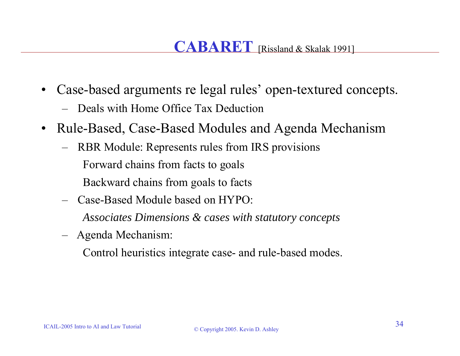- • Case-based arguments re legal rules' open-textured concepts.
	- Deals with Home Office Tax Deduction
- $\bullet$  Rule-Based, Case-Based Modules and Agenda Mechanism
	- RBR Module: Represents rules from IRS provisions Forward chains from facts to goals Backward chains from goals to facts
	- Case-Based Module based on HYPO:

*Associates Dimensions & cases with statutory concepts*

Agenda Mechanism:

Control heuristics integrate case- and rule-based modes.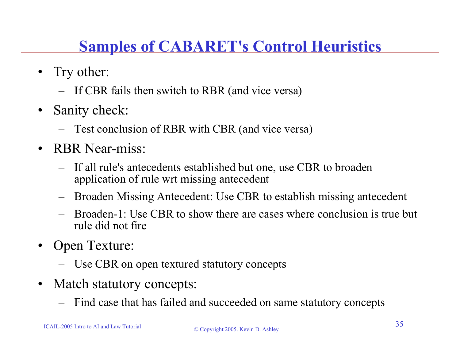## **Samples of CABARET's Control Heuristics**

- Try other:
	- If CBR fails then switch to RBR (and vice versa)
- • Sanity check:
	- Test conclusion of RBR with CBR (and vice versa)
- RBR Near-miss:
	- If all rule's antecedents established but one, use CBR to broaden application of rule wrt missing antecedent
	- Broaden Missing Antecedent: Use CBR to establish missing antecedent
	- Broaden-1: Use CBR to show there are cases where conclusion is true but rule did not fire
- • Open Texture:
	- Use CBR on open textured statutory concepts
- • Match statutory concepts:
	- Find case that has failed and succeeded on same statutory concepts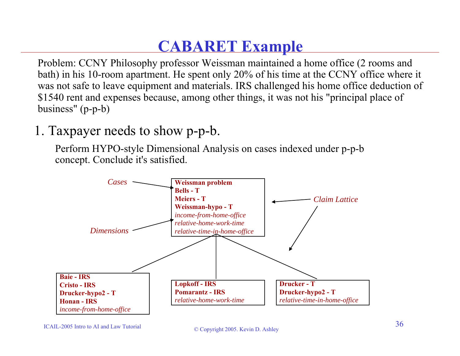### **CABARET Example**

Problem: CCNY Philosophy professor Weissman maintained a home office (2 rooms and bath) in his 10-room apartment. He spent only 20% of his time at the CCNY office where it was not safe to leave equipment and materials. IRS challenged his home office deduction of \$1540 rent and expenses because, among other things, it was not his "principal place of business" (p-p-b)

### 1. Taxpayer needs to show p-p-b.

Perform HYPO-style Dimensional Analysis on cases indexed under p-p-b concept. Conclude it's satisfied.



#### ICAIL-2005 Intro to AI and Law Tutorial

#### $\degree$  Copyright 2005. Kevin D. Ashley 36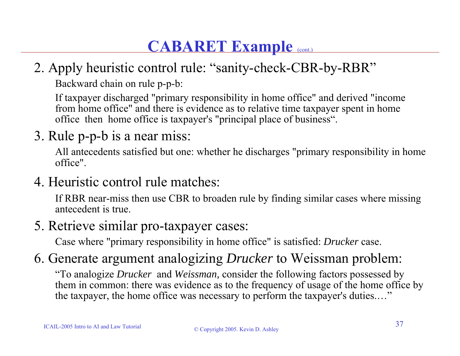### **CABARET Example** (cont.)

### 2. Apply heuristic control rule: "sanity-check-CBR-by-RBR"

Backward chain on rule p-p-b:

If taxpayer discharged "primary responsibility in home office" and derived "income from home office" and there is evidence as to relative time taxpayer spent in home office then home office is taxpayer's "principal place of business".

3. Rule p-p-b is a near miss:

All antecedents satisfied but one: whether he discharges "primary responsibility in home office".

4. Heuristic control rule matches:

If RBR near-miss then use CBR to broaden rule by finding similar cases where missing antecedent is true.

5. Retrieve similar pro-taxpayer cases:

Case where "primary responsibility in home office" is satisfied: *Drucker* case.

### 6. Generate argument analogizing *Drucker* to Weissman problem:

"To analogize *Drucker* and *Weissman,* consider the following factors possessed by them in common: there was evidence as to the frequency of usage of the home office by the taxpayer, the home office was necessary to perform the taxpayer's duties.…"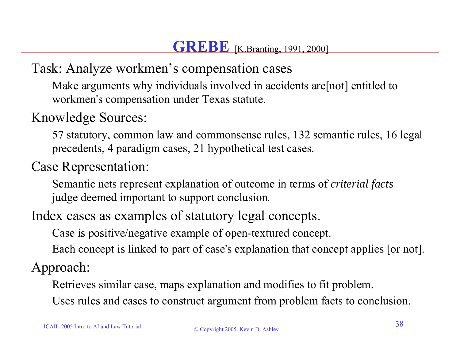Task: Analyze workmen's compensation cases

Make arguments why individuals involved in accidents are [not] entitled to workmen's compensation under Texas statute.

### Knowledge Sources:

57 statutory, common law and commonsense rules, 132 semantic rules, 16 legal precedents, 4 paradigm cases, 21 hypothetical test cases.

### Case Representation:

Semantic nets represent explanation of outcome in terms of *criterial facts*  judge deemed important to support conclusion*.*

Index cases as examples of statutory legal concepts.

Case is positive/negative example of open-textured concept.

Each concept is linked to part of case's explanation that concept applies [or not].

Approach:

Retrieves similar case, maps explanation and modifies to fit problem.

Uses rules and cases to construct argument from problem facts to conclusion.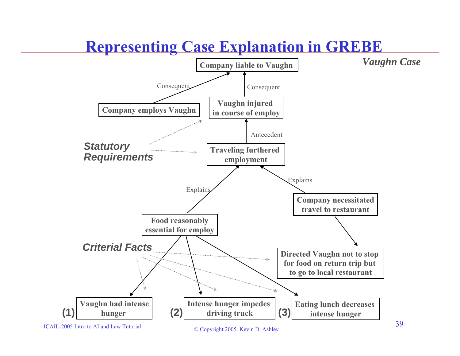### **Representing Case Explanation in GREBE**



ICAIL-2005 Intro to AI and Law Tutorial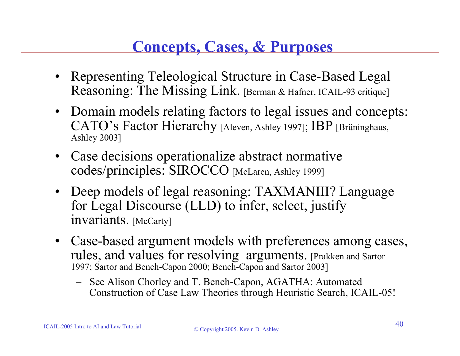### **Concepts, Cases, & Purposes**

- • Representing Teleological Structure in Case-Based Legal Reasoning: The Missing Link. [Berman & Hafner, ICAIL-93 critique]
- Domain models relating factors to legal issues and concepts: CATO's Factor Hierarchy [Aleven, Ashley 1997]; IBP [Brüninghaus, Ashley 2003]
- Case decisions operationalize abstract normative codes/principles: SIROCCO [McLaren, Ashley 1999]
- Deep models of legal reasoning: TAXMANIII? Language for Legal Discourse (LLD) to infer, select, justify invariants. [McCarty]
- Case-based argument models with preferences among cases, rules, and values for resolving arguments. [Prakken and Sartor 1997; Sartor and Bench-Capon 2000; Bench-Capon and Sartor 2003]
	- See Alison Chorley and T. Bench-Capon, AGATHA: Automated Construction of Case Law Theories through Heuristic Search, ICAIL-05!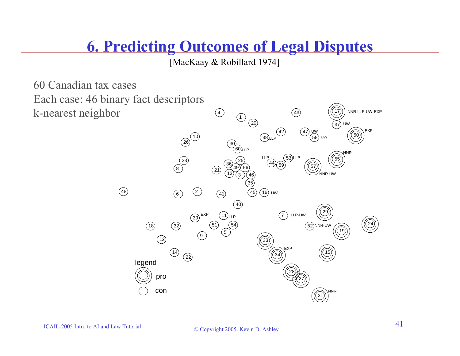### **6. Predicting Outcomes of Legal Disputes**

[MacKaay & Robillard 1974]

60 Canadian tax casesEach case: 46 binary fact descriptors k-nearest neighbor

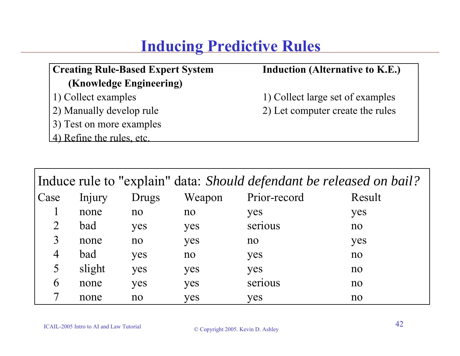### **Inducing Predictive Rules**

#### **Creating Rule-Based Expert System Induction (Alternative to K.E.) (Knowledge Engineering)**

- 
- 2) Manually develop rule 2) Let computer create the rules
- 3) Test on more examples
- 4) Refine the rules, etc.

1) Collect examples 1) Collect large set of examples

|                |        |              |        | Induce rule to "explain" data: Should defendant be released on bail? |        |
|----------------|--------|--------------|--------|----------------------------------------------------------------------|--------|
| Case           | Injury | <b>Drugs</b> | Weapon | Prior-record                                                         | Result |
|                | none   | no           | no     | yes                                                                  | yes    |
|                | bad    | yes          | yes    | serious                                                              | no     |
| 3              | none   | no           | yes    | no                                                                   | yes    |
| $\overline{4}$ | bad    | yes          | no     | yes                                                                  | no     |
| 5              | slight | yes          | yes    | yes                                                                  | no     |
| 6              | none   | yes          | yes    | serious                                                              | no     |
|                | none   | no           | yes    | yes                                                                  | no     |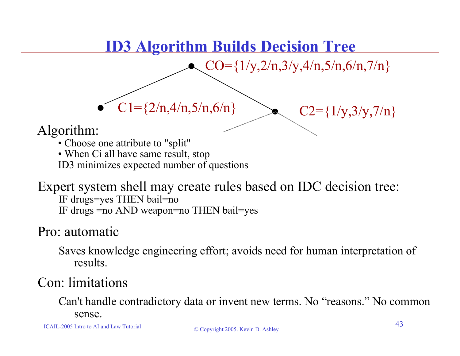### **ID3 Algorithm Builds Decision Tree**

 $\bullet$  C1={2/n,4/n,5/n,6/n}  $\qquad \qquad$  C2={1/y,3/y,7/n}

 $CO=\{1/y,2/n,3/y,4/n,5/n,6/n,7/n\}$ **•**

Algorithm:

• Choose one attribute to "split"

**•**

• When Ci all have same result, stop ID3 minimizes expected number of questions

#### Expert system shell may create rules based on IDC decision tree: IF drugs=yes THEN bail=no IF drugs =no AND weapon=no THEN bail=yes

### Pro: automatic

Saves knowledge engineering effort; avoids need for human interpretation of results.

### Con: limitations

Can't handle contradictory data or invent new terms. No "reasons." No common sense.

ICAIL-2005 Intro to AI and Law Tutorial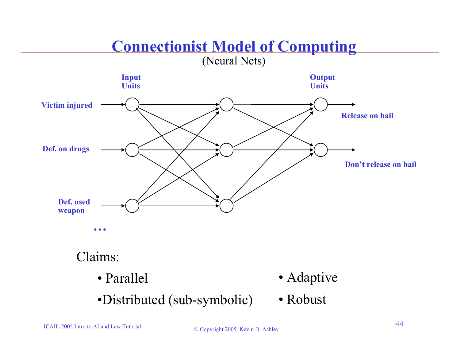# **Connectionist Model of Computing**

(Neural Nets)



•Distributed (sub-symbolic) • Robust

ICAIL-2005 Intro to AI and Law Tutorial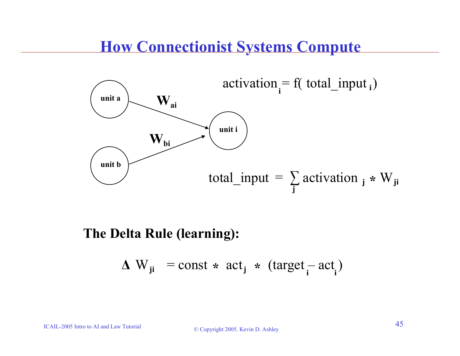### **How Connectionist Systems Compute**



#### **The Delta Rule (learning):**

$$
\Delta W_{ji} = \text{const} * \text{ act}_j * (\text{target}_i - \text{act}_i)
$$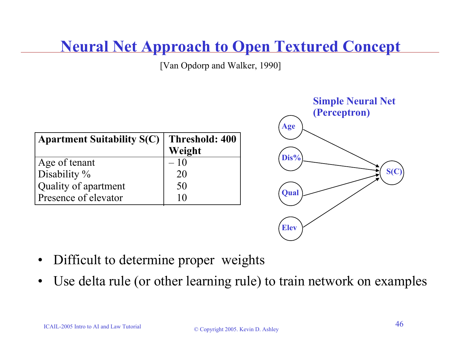### **Neural Net Approach to Open Textured Concept**

[Van Opdorp and Walker, 1990]

| <b>Apartment Suitability S(C)</b> | Threshold: 400<br>Weight |
|-----------------------------------|--------------------------|
| Age of tenant                     | $-10$                    |
| Disability %                      | 20                       |
| Quality of apartment              | 50                       |
| Presence of elevator              | U                        |



- •Difficult to determine proper weights
- •Use delta rule (or other learning rule) to train network on examples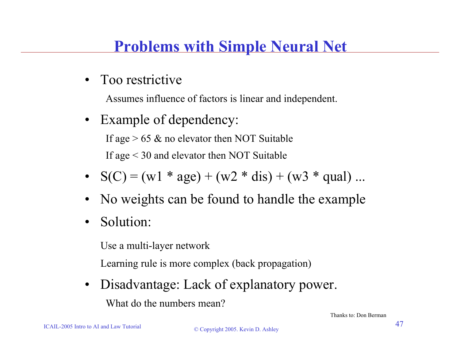### **Problems with Simple Neural Net**

•Too restrictive

Assumes influence of factors is linear and independent.

- • Example of dependency: If age  $> 65 \&$  no elevator then NOT Suitable If age < 30 and elevator then NOT Suitable
- $S(C) = (w1 * age) + (w2 * dis) + (w3 * qual) ...$
- •No weights can be found to handle the example
- •Solution:

Use a multi-layer network

Learning rule is more complex (back propagation)

 $\bullet$  Disadvantage: Lack of explanatory power. What do the numbers mean?

Thanks to: Don Berman

ICAIL-2005 Intro to AI and Law Tutorial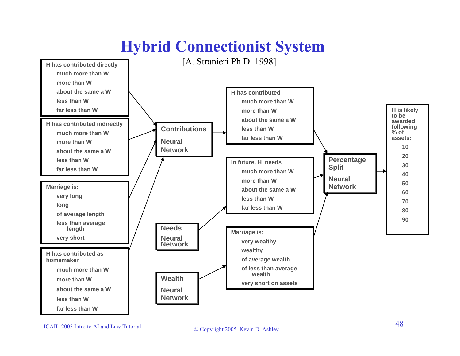# **Hybrid Connectionist System**



#### ICAIL-2005 Intro to AI and Law Tutorial

#### © Copyright 2005. Kevin D. Ashley <sup>48</sup>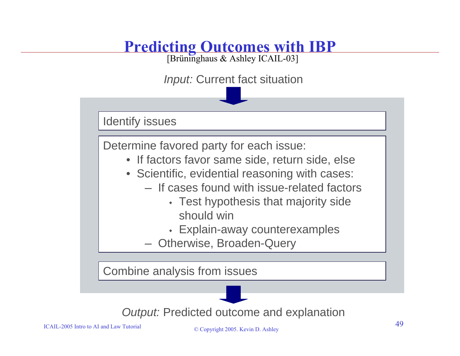### **Predicting Outcomes with IBP**

[Brüninghaus & Ashley ICAIL-03]

*Input:* Current fact situation

Identify issues

Determine favored party for each issue:

- If factors favor same side, return side, else
- Scientific, evidential reasoning with cases:
	- $-$  If cases found with issue-related factors
		- Test hypothesis that majority side should win
		- Explain-away counterexamples
	- Otherwise, Broaden-Query

Combine analysis from issues



ICAIL-2005 Intro to AI and Law Tutorial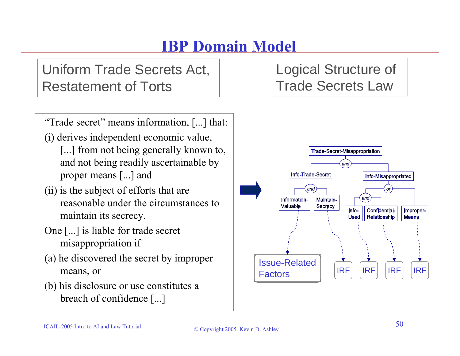### **IBP Domain Model**

Uniform Trade Secrets Act, Restatement of Torts

"Trade secret" means information, [...] that:

(i) derives independent economic value,

- [...] from not being generally known to, and not being readily ascertainable by proper means [...] and
- (ii) is the subject of efforts that are reasonable under the circumstances to maintain its secrecy.
- One [...] is liable for trade secret misappropriation if
- (a) he discovered the secret by improper means, or
- (b) his disclosure or use constitutes a breach of confidence [...]

Logical Structure of Trade Secrets Law

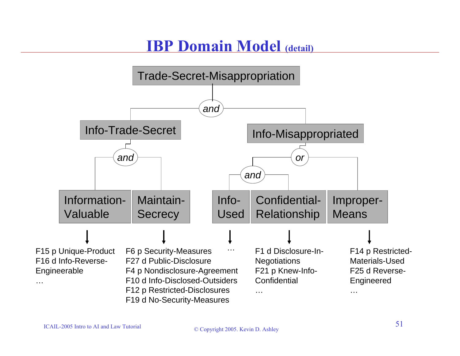### **IBP Domain Model (detail)**

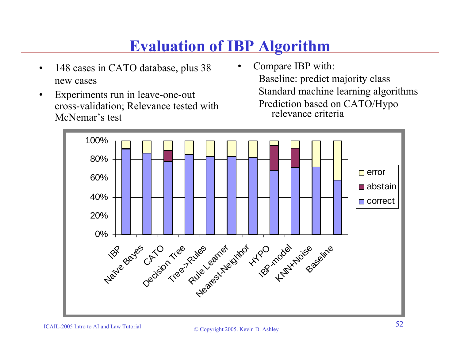### **Evaluation of IBP Algorithm**

•

- • 148 cases in CATO database, plus 38 new cases
- • Experiments run in leave-one-out cross-validation; Relevance tested with McNemar's test
- Compare IBP with: Baseline: predict majority class Standard machine learning algorithms Prediction based on CATO/Hypo relevance criteria

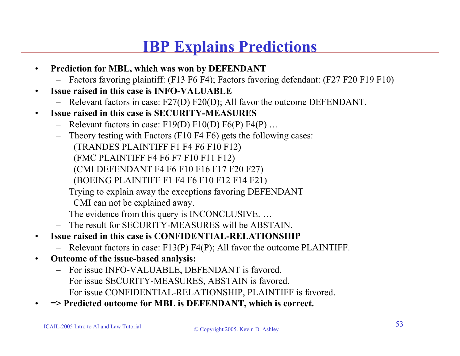### **IBP Explains Predictions**

- • **Prediction for MBL, which was won by DEFENDANT**
	- Factors favoring plaintiff: (F13 F6 F4); Factors favoring defendant: (F27 F20 F19 F10)
- • **Issue raised in this case is INFO-VALUABLE**
	- Relevant factors in case: F27(D) F20(D); All favor the outcome DEFENDANT.
- • **Issue raised in this case is SECURITY-MEASURES**
	- Relevant factors in case: F19(D) F10(D) F6(P) F4(P) ...
	- – Theory testing with Factors (F10 F4 F6) gets the following cases: (TRANDES PLAINTIFF F1 F4 F6 F10 F12) (FMC PLAINTIFF F4 F6 F7 F10 F11 F12) (CMI DEFENDANT F4 F6 F10 F16 F17 F20 F27) (BOEING PLAINTIFF F1 F4 F6 F10 F12 F14 F21)
		- Trying to explain away the exceptions favoring DEFENDANT
		- CMI can not be explained away.
		- The evidence from this query is INCONCLUSIVE. …
	- The result for SECURITY-MEASURES will be ABSTAIN.
- • **Issue raised in this case is CONFIDENTIAL-RELATIONSHIP**
	- Relevant factors in case: F13(P) F4(P); All favor the outcome PLAINTIFF.
- • **Outcome of the issue-based analysis:** 
	- For issue INFO-VALUABLE, DEFENDANT is favored. For issue SECURITY-MEASURES, ABSTAIN is favored. For issue CONFIDENTIAL-RELATIONSHIP, PLAINTIFF is favored.
- •<sup>=</sup>**> Predicted outcome for MBL is DEFENDANT, which is correct.**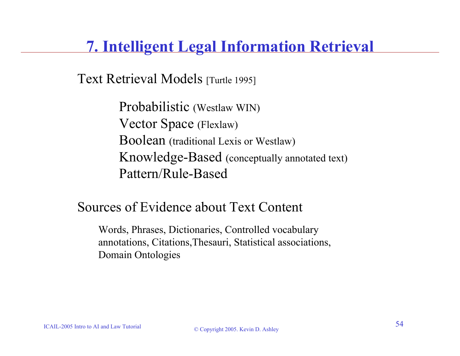### **7. Intelligent Legal Information Retrieval**

Text Retrieval Models [Turtle 1995]

Probabilistic (Westlaw WIN) Vector Space (Flexlaw) Boolean (traditional Lexis or Westlaw) Knowledge-Based (conceptually annotated text) Pattern/Rule-Based

### Sources of Evidence about Text Content

Words, Phrases, Dictionaries, Controlled vocabulary annotations, Citations,Thesauri, Statistical associations, Domain Ontologies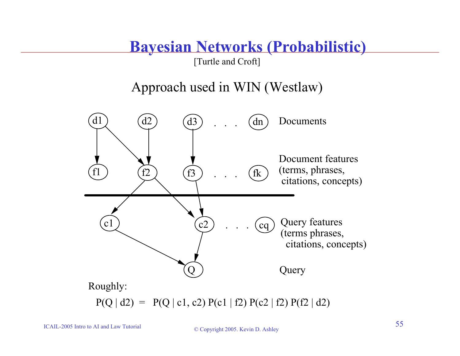### **Bayesian Networks (Probabilistic)**

[Turtle and Croft]

Approach used in WIN (Westlaw)

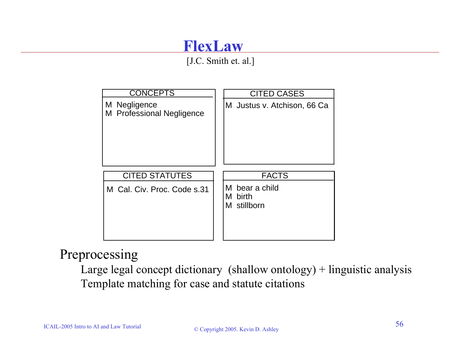### **FlexLaw**

[J.C. Smith et. al.]



### Preprocessing

Large legal concept dictionary (shallow ontology)  $+$  linguistic analysis Template matching for case and statute citations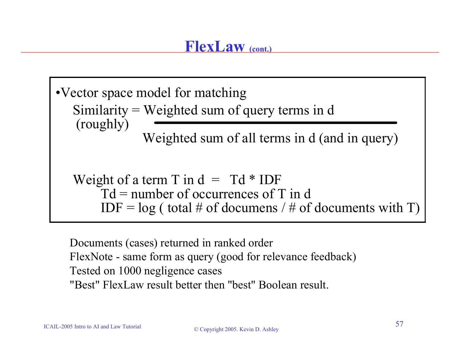Similarity = Weighted sum of query terms in d (roughly) Weighted sum of all terms in d (and in query) Weight of a term T in  $d = Td * IDF$  $Td =$  number of occurrences of T in d  $IDF = log (total # of documents / # of documents with T)$ •Vector space model for matching

Documents (cases) returned in ranked order FlexNote - same form as query (good for relevance feedback) Tested on 1000 negligence cases "Best" FlexLaw result better then "best" Boolean result.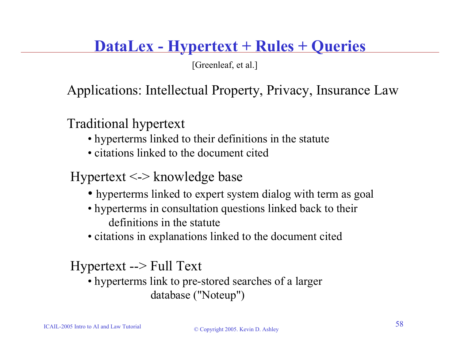### **DataLex - Hypertext + Rules + Queries**

[Greenleaf, et al.]

Applications: Intellectual Property, Privacy, Insurance Law

Traditional hypertext

- hyperterms linked to their definitions in the statute
- citations linked to the document cited

### Hypertext <-> knowledge base

- hyperterms linked to expert system dialog with term as goal
- hyperterms in consultation questions linked back to their definitions in the statute
- citations in explanations linked to the document cited

Hypertext --> Full Text

• hyperterms link to pre-stored searches of a larger database ("Noteup")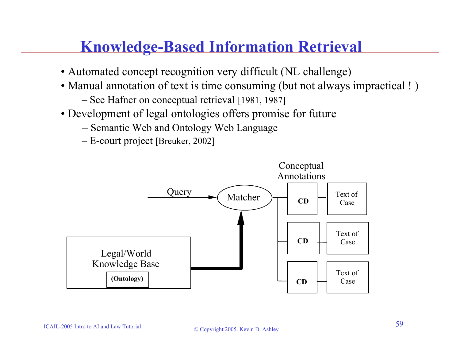### **Knowledge-Based Information Retrieval**

- Automated concept recognition very difficult (NL challenge)
- Manual annotation of text is time consuming (but not always impractical !)
	- See Hafner on conceptual retrieval [1981, 1987]
- Development of legal ontologies offers promise for future
	- Semantic Web and Ontology Web Language
	- E-court project [Breuker, 2002]

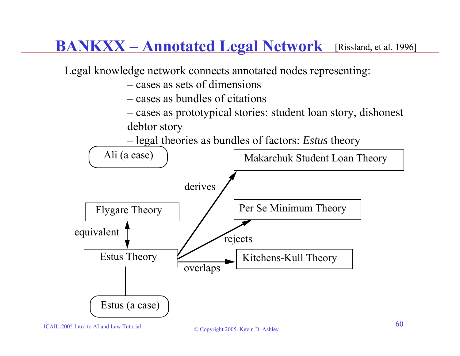### **BANKXX – Annotated Legal Network** [Rissland, et al. 1996]



ICAIL-2005 Intro to AI and Law Tutorial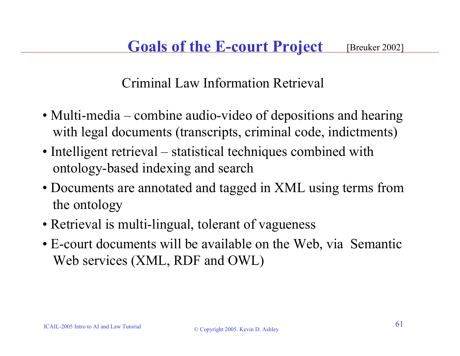Criminal Law Information Retrieval

- Multi-media combine audio-video of depositions and hearing with legal documents (transcripts, criminal code, indictments)
- Intelligent retrieval statistical techniques combined with ontology-based indexing and search
- Documents are annotated and tagged in XML using terms from the ontology
- Retrieval is multi-lingual, tolerant of vagueness
- E-court documents will be available on the Web, via Semantic Web services (XML, RDF and OWL)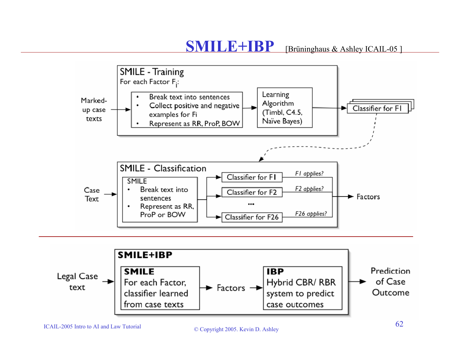#### **SMILE+IBP**[Brüninghaus & Ashley ICAIL-05]





#### ICAIL-2005 Intro to AI and Law Tutorial

#### $\degree$  Copyright 2005. Kevin D. Ashley 62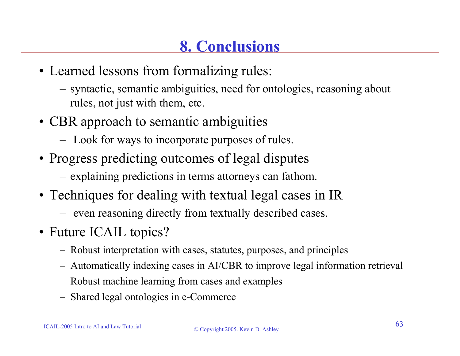- Learned lessons from formalizing rules:
	- syntactic, semantic ambiguities, need for ontologies, reasoning about rules, not just with them, etc.
- CBR approach to semantic ambiguities
	- Look for ways to incorporate purposes of rules.
- Progress predicting outcomes of legal disputes
	- explaining predictions in terms attorneys can fathom.
- Techniques for dealing with textual legal cases in IR
	- $-$  even reasoning directly from textually described cases.
- Future ICAIL topics?
	- Robust interpretation with cases, statutes, purposes, and principles
	- Automatically indexing cases in AI/CBR to improve legal information retrieval
	- Robust machine learning from cases and examples
	- Shared legal ontologies in e-Commerce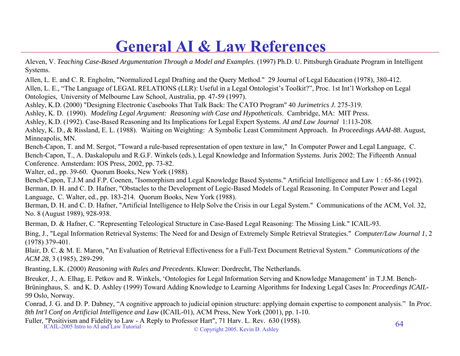### **General AI & Law References**

- Aleven, V. *Teaching Case-Based Argumentation Through a Model and Examples*. (1997) Ph.D. U. Pittsburgh Graduate Program in Intelligent Systems.
- Allen, L. E. and C. R. Engholm, "Normalized Legal Drafting and the Query Method." 29 Journal of Legal Education (1978), 380-412.
- Allen, L. E., "The Language of LEGAL RELATIONS (LLR): Useful in a Legal Ontologist's Toolkit?", Proc. 1st Int'l Workshop on Legal Ontologies, University of Melbourne Law School, Australia, pp. 47-59 (1997).
- Ashley, K.D. (2000) "Designing Electronic Casebooks That Talk Back: The CATO Program" 40 *Jurimetrics J.* 275-319.
- Ashley, K. D. (1990). *Modeling Legal Argument: Reasoning with Case and Hypotheticals*. Cambridge, MA: MIT Press.
- Ashley, K.D. (1992). Case-Based Reasoning and Its Implications for Legal Expert Systems. *AI and Law Journal* 1:113-208.
- Ashley, K. D., & Rissland, E. L. (1988). Waiting on Weighting: A Symbolic Least Commitment Approach. In *Proceedings AAAI-88*. August, Minneapolis, MN.
- Bench-Capon, T. and M. Sergot, "Toward a rule-based representation of open texture in law," In Computer Power and Legal Language, C. Bench-Capon, T., A. Daskalopulu and R.G.F. Winkels (eds.), Legal Knowledge and Information Systems. Jurix 2002: The Fifteenth Annual Conference. Amsterdam: IOS Press, 2002, pp. 73-82.
- Walter, ed., pp. 39-60. Quorum Books, New York (1988).
- Bench-Capon, T.J.M and F.P. Coenen, "Isomorphism and Legal Knowledge Based Systems." Artificial Intelligence and Law 1 : 65-86 (1992). Berman, D. H. and C. D. Hafner, "Obstacles to the Development of Logic-Based Models of Legal Reasoning. In Computer Power and Legal
- Language, C. Walter, ed., pp. 183-214. Quorum Books, New York (1988).
- Berman, D. H. and C. D. Hafner, "Artificial Intelligence to Help Solve the Crisis in our Legal System." Communications of the ACM, Vol. 32, No. 8 (August 1989), 928-938.
- Berman, D. & Hafner, C. "Representing Teleological Structure in Case-Based Legal Reasoning: The Missing Link." ICAIL-93.
- Bing, J., "Legal Information Retrieval Systems: The Need for and Design of Extremely Simple Retrieval Strategies." *Computer/Law Journal 1*, 2 (1978) 379-401.
- Blair, D. C. & M. E. Maron, "An Evaluation of Retrieval Effectiveness for a Full-Text Document Retrieval System." *Communications of the ACM 28*, 3 (1985), 289-299.
- Branting, L.K. (2000) *Reasoning with Rules and Precedents*. Kluwer: Dordrecht, The Netherlands.
- Breuker, J., A. Elhag, E. Petkov and R. Winkels, 'Ontologies for Legal Information Serving and Knowledge Management' in T.J.M. Bench-Brüninghaus, S. and K. D. Ashley (1999) Toward Adding Knowledge to Learning Algorithms for Indexing Legal Cases In: *Proceedings ICAIL-99* Oslo, Norway.
- Conrad, J. G. and D. P. Dabney, "A cognitive approach to judicial opinion structure: applying domain expertise to component analysis." In *Proc. 8th Int'l Conf on Artificial Intelligence and Law* (ICAIL-01), ACM Press, New York (2001), pp. 1-10.
- Fuller, "Positivism and Fidelity to Law A Reply to Professor Hart", 71 Harv. L. Rev. 630 (1958).<br>ICAIL-2005 Intro to AI and Law Tutorial © Copyright 2005. Kevin D. Ashley

ICAIL-2005 Intro to AI and Law Tutorial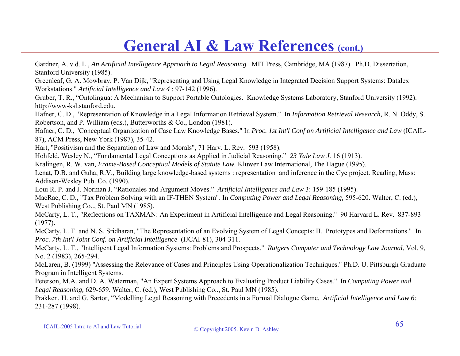### **General AI & Law References (cont.)**

Gardner, A. v.d. L., *An Artificial Intelligence Approach to Legal Reasoning.* MIT Press, Cambridge, MA (1987). Ph.D. Dissertation, Stanford University (1985).

Greenleaf, G, A. Mowbray, P. Van Dijk, "Representing and Using Legal Knowledge in Integrated Decision Support Systems: Datalex Workstations." *Artificial Intelligence and Law 4* : 97-142 (1996).

Gruber, T. R., "Ontolingua: A Mechanism to Support Portable Ontologies. Knowledge Systems Laboratory, Stanford University (1992). http://www-ksl.stanford.edu.

Hafner, C. D., "Representation of Knowledge in a Legal Information Retrieval System." In *Information Retrieval Research,* R. N. Oddy, S. Robertson, and P. William (eds.), Butterworths & Co., London (1981).

Hafner, C. D., "Conceptual Organization of Case Law Knowledge Bases." In *Proc. 1st Int'l Conf on Artificial Intelligence and Law* (ICAIL-87), ACM Press, New York (1987), 35-42.

Hart, "Positivism and the Separation of Law and Morals", 71 Harv. L. Rev. 593 (1958).

Hohfeld, Wesley N., "Fundamental Legal Conceptions as Applied in Judicial Reasoning." *23 Yale Law J.* 16 (1913).

Kralingen, R. W. van*, Frame-Based Conceptual Models of Statute Law.* Kluwer Law International, The Hague (1995).

Lenat, D.B. and Guha, R.V., Building large knowledge-based systems : representation and inference in the Cyc project. Reading, Mass: Addison-Wesley Pub. Co. (1990).

Loui R. P. and J. Norman J. "Rationales and Argument Moves." *Artificial Intelligence and Law* 3: 159-185 (1995).

MacRae, C. D., "Tax Problem Solving with an IF-THEN System". In *Computing Power and Legal Reasoning,* 595-620. Walter, C. (ed.)*,*  West Publishing Co.., St. Paul MN (1985).

McCarty, L. T., "Reflections on TAXMAN: An Experiment in Artificial Intelligence and Legal Reasoning." 90 Harvard L. Rev. 837-893 (1977).

McCarty, L. T. and N. S. Sridharan, "The Representation of an Evolving System of Legal Concepts: II. Prototypes and Deformations." In *Proc. 7th Int'l Joint Conf. on Artificial Intelligence* (IJCAI-81), 304-311.

McCarty, L. T., "Intelligent Legal Information Systems: Problems and Prospects." *Rutgers Computer and Technology Law Journal*, Vol. 9, No. 2 (1983), 265-294.

McLaren, B. (1999) "Assessing the Relevance of Cases and Principles Using Operationalization Techniques." Ph.D. U. Pittsburgh Graduate Program in Intelligent Systems.

Peterson, M.A. and D. A. Waterman, "An Expert Systems Approach to Evaluating Product Liability Cases." In *Computing Power and Legal Reasoning,* 629-659. Walter, C. (ed.)*,* West Publishing Co.., St. Paul MN (1985).

Prakken, H. and G. Sartor, "Modelling Legal Reasoning with Precedents in a Formal Dialogue Game*. Artificial Intelligence and Law 6:* 231-287 (1998).